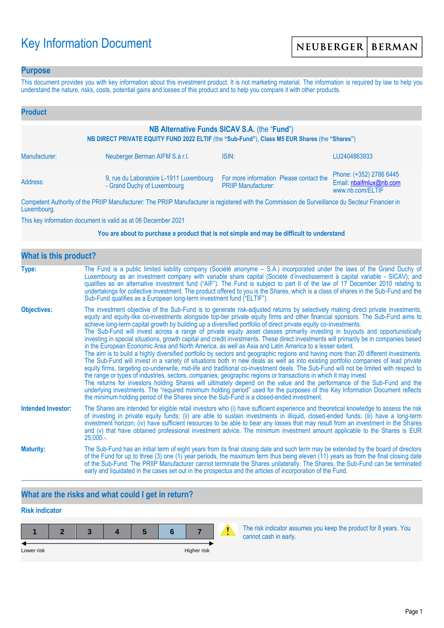# Key Information Document

### **Purpose**

This document provides you with key information about this investment product. It is not marketing material. The information is required by law to help you understand the nature, risks, costs, potential gains and losses of this product and to help you compare it with other products.

| <b>Product</b>                                                                                                                                |                                                                        |                                                                                                                                                                                                                                      |                                                                        |  |  |  |
|-----------------------------------------------------------------------------------------------------------------------------------------------|------------------------------------------------------------------------|--------------------------------------------------------------------------------------------------------------------------------------------------------------------------------------------------------------------------------------|------------------------------------------------------------------------|--|--|--|
| NB Alternative Funds SICAV S.A. (the "Fund")<br>NB DIRECT PRIVATE EQUITY FUND 2022 ELTIF (the "Sub-Fund"), Class M5 EUR Shares (the "Shares") |                                                                        |                                                                                                                                                                                                                                      |                                                                        |  |  |  |
| Manufacturer:                                                                                                                                 | Neuberger Berman AIFM S.à r.l.                                         | ISIN:                                                                                                                                                                                                                                | LU2404863933                                                           |  |  |  |
| Address:                                                                                                                                      | 9, rue du Laboratoire L-1911 Luxembourg<br>- Grand Duchy of Luxembourg | For more information Please contact the<br><b>PRIIP Manufacturer:</b>                                                                                                                                                                | Phone: (+352) 2786 6445<br>Email: nbaifmlux@nb.com<br>www.nb.com/ELTIF |  |  |  |
|                                                                                                                                               |                                                                        | <b>THE BRUSH AND AND AND ACCOUNT AND ACCOUNT AND ACCOUNT AND ACCOUNT AND ACCOUNT ACCOUNT AND ACCOUNT ACCOUNT ACCOUNT ACCOUNT ACCOUNT ACCOUNT ACCOUNT ACCOUNT ACCOUNT ACCOUNT ACCOUNT ACCOUNT ACCOUNT ACCOUNT ACCOUNT ACCOUNT ACC</b> |                                                                        |  |  |  |

Competent Authority of the PRIIP Manufacturer: The PRIIP Manufacturer is registered with the Commission de Surveillance du Secteur Financier in Luxembourg.

This key information document is valid as at 06 December 2021

#### **You are about to purchase a product that is not simple and may be difficult to understand**

| <b>What is this product?</b> |                                                                                                                                                                                                                                                                                                                                                                                                                                                                                                                                                                                                                                                                                                                                                                                                                                                                                                                                                                                                                                                                                                                                                                                                                                                                                                                                                                                                                                                                                                                                                                                                                                                                               |  |  |  |  |
|------------------------------|-------------------------------------------------------------------------------------------------------------------------------------------------------------------------------------------------------------------------------------------------------------------------------------------------------------------------------------------------------------------------------------------------------------------------------------------------------------------------------------------------------------------------------------------------------------------------------------------------------------------------------------------------------------------------------------------------------------------------------------------------------------------------------------------------------------------------------------------------------------------------------------------------------------------------------------------------------------------------------------------------------------------------------------------------------------------------------------------------------------------------------------------------------------------------------------------------------------------------------------------------------------------------------------------------------------------------------------------------------------------------------------------------------------------------------------------------------------------------------------------------------------------------------------------------------------------------------------------------------------------------------------------------------------------------------|--|--|--|--|
| Type:                        | The Fund is a public limited liability company (Société anonyme – S.A.) incorporated under the laws of the Grand Duchy of<br>Luxembourg as an investment company with variable share capital (Société d'investissement à capital variable - SICAV); and<br>qualifies as an alternative investment fund ("AIF"). The Fund is subject to part II of the law of 17 December 2010 relating to<br>undertakings for collective investment. The product offered to you is the Shares, which is a class of shares in the Sub-Fund and the<br>Sub-Fund qualifies as a European long-term investment fund ("ELTIF").                                                                                                                                                                                                                                                                                                                                                                                                                                                                                                                                                                                                                                                                                                                                                                                                                                                                                                                                                                                                                                                                    |  |  |  |  |
| <b>Objectives:</b>           | The investment objective of the Sub-Fund is to generate risk-adjusted returns by selectively making direct private investments,<br>equity and equity-like co-investments alongside top-tier private equity firms and other financial sponsors. The Sub-Fund aims to<br>achieve long-term capital growth by building up a diversified portfolio of direct private equity co-investments.<br>The Sub-Fund will invest across a range of private equity asset classes primarily investing in buyouts and opportunistically<br>investing in special situations, growth capital and credit investments. These direct investments will primarily be in companies based<br>in the European Economic Area and North America, as well as Asia and Latin America to a lesser extent.<br>The aim is to build a highly diversified portfolio by sectors and geographic regions and having more than 20 different investments.<br>The Sub-Fund will invest in a variety of situations both in new deals as well as into existing portfolio companies of lead private<br>equity firms, targeting co-underwrite, mid-life and traditional co-investment deals. The Sub-Fund will not be limited with respect to<br>the range or types of industries, sectors, companies, geographic regions or transactions in which it may invest<br>The returns for investors holding Shares will ultimately depend on the value and the performance of the Sub-Fund and the<br>underlying investments. The "required minimum holding period" used for the purposes of this Key Information Document reflects<br>the minimum holding period of the Shares since the Sub-Fund is a closed-ended investment. |  |  |  |  |
| <b>Intended Investor:</b>    | The Shares are intended for eligible retail investors who (i) have sufficient experience and theoretical knowledge to assess the risk<br>of investing in private equity funds; (ii) are able to sustain investments in illiquid, closed-ended funds; (iii) have a long-term<br>investment horizon; (iv) have sufficient resources to be able to bear any losses that may result from an investment in the Shares<br>and (v) that have obtained professional investment advice. The minimum investment amount applicable to the Shares is EUR<br>$25,000.$ -.                                                                                                                                                                                                                                                                                                                                                                                                                                                                                                                                                                                                                                                                                                                                                                                                                                                                                                                                                                                                                                                                                                                  |  |  |  |  |
| <b>Maturity:</b>             | The Sub-Fund has an initial term of eight years from its final closing date and such term may be extended by the board of directors<br>of the Fund for up to three (3) one (1) year periods, the maximum term thus being eleven (11) years as from the final closing date<br>of the Sub-Fund. The PRIIP Manufacturer cannot terminate the Shares unilaterally. The Shares, the Sub-Fund can be terminated<br>early and liquidated in the cases set out in the prospectus and the articles of incorporation of the Fund.                                                                                                                                                                                                                                                                                                                                                                                                                                                                                                                                                                                                                                                                                                                                                                                                                                                                                                                                                                                                                                                                                                                                                       |  |  |  |  |

## **What are the risks and what could I get in return?**

## **Risk indicator**

| Lower risk |  |  | Higher risk |  |
|------------|--|--|-------------|--|

The risk indicator assumes you keep the product for 8 years. You cannot cash in early.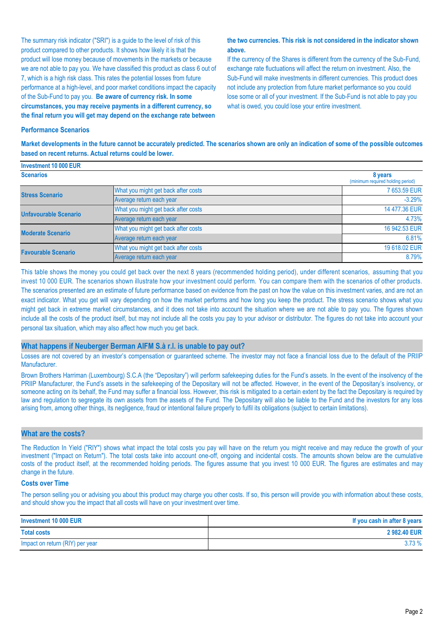The summary risk indicator ("SRI") is a guide to the level of risk of this product compared to other products. It shows how likely it is that the product will lose money because of movements in the markets or because we are not able to pay you. We have classified this product as class 6 out of 7, which is a high risk class. This rates the potential losses from future performance at a high-level, and poor market conditions impact the capacity of the Sub-Fund to pay you. **Be aware of currency risk. In some circumstances, you may receive payments in a different currency, so the final return you will get may depend on the exchange rate between** 

#### **the two currencies. This risk is not considered in the indicator shown above.**

If the currency of the Shares is different from the currency of the Sub-Fund, exchange rate fluctuations will affect the return on investment. Also, the Sub-Fund will make investments in different currencies. This product does not include any protection from future market performance so you could lose some or all of your investment. If the Sub-Fund is not able to pay you what is owed, you could lose your entire investment.

#### **Performance Scenarios**

**Market developments in the future cannot be accurately predicted. The scenarios shown are only an indication of some of the possible outcomes based on recent returns. Actual returns could be lower.**

| Investment 10 000 EUR      |                                              |               |
|----------------------------|----------------------------------------------|---------------|
| <b>Scenarios</b>           | 8 years<br>(minimum required holding period) |               |
| <b>Stress Scenario</b>     | What you might get back after costs          | 7 653.59 EUR  |
|                            | Average return each year                     | $-3.29%$      |
| Unfavourable Scenario      | What you might get back after costs          | 14 477.36 EUR |
|                            | Average return each year                     | 4.73%         |
| <b>Moderate Scenario</b>   | What you might get back after costs          | 16 942.53 EUR |
|                            | Average return each year                     | 6.81%         |
| <b>Favourable Scenario</b> | What you might get back after costs          | 19 618.02 EUR |
|                            | Average return each year                     | 8.79%         |

This table shows the money you could get back over the next 8 years (recommended holding period), under different scenarios, assuming that you invest 10 000 EUR. The scenarios shown illustrate how your investment could perform. You can compare them with the scenarios of other products. The scenarios presented are an estimate of future performance based on evidence from the past on how the value on this investment varies, and are not an exact indicator. What you get will vary depending on how the market performs and how long you keep the product. The stress scenario shows what you might get back in extreme market circumstances, and it does not take into account the situation where we are not able to pay you. The figures shown include all the costs of the product itself, but may not include all the costs you pay to your advisor or distributor. The figures do not take into account your personal tax situation, which may also affect how much you get back.

#### **What happens if Neuberger Berman AIFM S.à r.l. is unable to pay out?**

Losses are not covered by an investor's compensation or guaranteed scheme. The investor may not face a financial loss due to the default of the PRIIP Manufacturer.

Brown Brothers Harriman (Luxembourg) S.C.A (the "Depositary") will perform safekeeping duties for the Fund's assets. In the event of the insolvency of the PRIIP Manufacturer, the Fund's assets in the safekeeping of the Depositary will not be affected. However, in the event of the Depositary's insolvency, or someone acting on its behalf, the Fund may suffer a financial loss. However, this risk is mitigated to a certain extent by the fact the Depositary is required by law and regulation to segregate its own assets from the assets of the Fund. The Depositary will also be liable to the Fund and the investors for any loss arising from, among other things, its negligence, fraud or intentional failure properly to fulfil its obligations (subject to certain limitations).

#### **What are the costs?**

The Reduction In Yield ("RIY") shows what impact the total costs you pay will have on the return you might receive and may reduce the growth of your investment ("Impact on Return"). The total costs take into account one-off, ongoing and incidental costs. The amounts shown below are the cumulative costs of the product itself, at the recommended holding periods. The figures assume that you invest 10 000 EUR. The figures are estimates and may change in the future.

#### **Costs over Time**

The person selling you or advising you about this product may charge you other costs. If so, this person will provide you with information about these costs, and should show you the impact that all costs will have on your investment over time.

| Investment 10 000 EUR           | If you cash in after 8 years |
|---------------------------------|------------------------------|
| <b>Total costs</b>              | 2 982.40 EUR                 |
| Impact on return (RIY) per year | 3.73%                        |